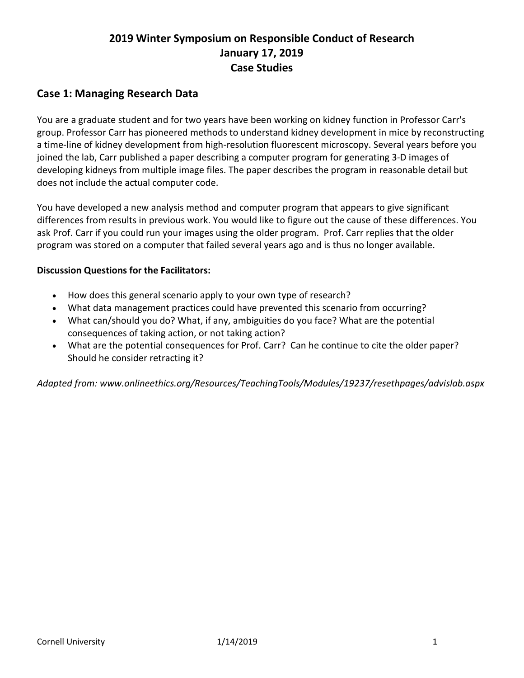# **2019 Winter Symposium on Responsible Conduct of Research January 17, 2019 Case Studies**

### **Case 1: Managing Research Data**

You are a graduate student and for two years have been working on kidney function in Professor Carr's group. Professor Carr has pioneered methods to understand kidney development in mice by reconstructing a time-line of kidney development from high-resolution fluorescent microscopy. Several years before you joined the lab, Carr published a paper describing a computer program for generating 3-D images of developing kidneys from multiple image files. The paper describes the program in reasonable detail but does not include the actual computer code.

You have developed a new analysis method and computer program that appears to give significant differences from results in previous work. You would like to figure out the cause of these differences. You ask Prof. Carr if you could run your images using the older program. Prof. Carr replies that the older program was stored on a computer that failed several years ago and is thus no longer available.

#### **Discussion Questions for the Facilitators:**

- How does this general scenario apply to your own type of research?
- What data management practices could have prevented this scenario from occurring?
- What can/should you do? What, if any, ambiguities do you face? What are the potential consequences of taking action, or not taking action?
- What are the potential consequences for Prof. Carr? Can he continue to cite the older paper? Should he consider retracting it?

*Adapted from: www.onlineethics.org/Resources/TeachingTools/Modules/19237/resethpages/advislab.aspx*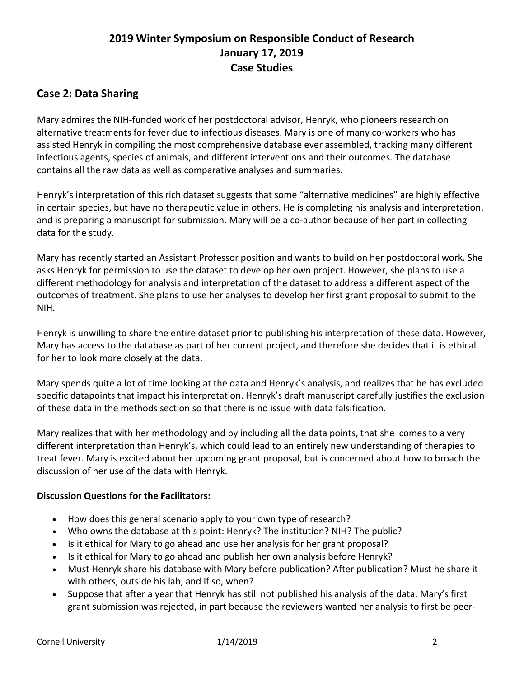## **2019 Winter Symposium on Responsible Conduct of Research January 17, 2019 Case Studies**

### **Case 2: Data Sharing**

Mary admires the NIH-funded work of her postdoctoral advisor, Henryk, who pioneers research on alternative treatments for fever due to infectious diseases. Mary is one of many co-workers who has assisted Henryk in compiling the most comprehensive database ever assembled, tracking many different infectious agents, species of animals, and different interventions and their outcomes. The database contains all the raw data as well as comparative analyses and summaries.

Henryk's interpretation of this rich dataset suggests that some "alternative medicines" are highly effective in certain species, but have no therapeutic value in others. He is completing his analysis and interpretation, and is preparing a manuscript for submission. Mary will be a co-author because of her part in collecting data for the study.

Mary has recently started an Assistant Professor position and wants to build on her postdoctoral work. She asks Henryk for permission to use the dataset to develop her own project. However, she plans to use a different methodology for analysis and interpretation of the dataset to address a different aspect of the outcomes of treatment. She plans to use her analyses to develop her first grant proposal to submit to the NIH.

Henryk is unwilling to share the entire dataset prior to publishing his interpretation of these data. However, Mary has access to the database as part of her current project, and therefore she decides that it is ethical for her to look more closely at the data.

Mary spends quite a lot of time looking at the data and Henryk's analysis, and realizes that he has excluded specific datapoints that impact his interpretation. Henryk's draft manuscript carefully justifies the exclusion of these data in the methods section so that there is no issue with data falsification.

Mary realizes that with her methodology and by including all the data points, that she comes to a very different interpretation than Henryk's, which could lead to an entirely new understanding of therapies to treat fever. Mary is excited about her upcoming grant proposal, but is concerned about how to broach the discussion of her use of the data with Henryk.

#### **Discussion Questions for the Facilitators:**

- How does this general scenario apply to your own type of research?
- Who owns the database at this point: Henryk? The institution? NIH? The public?
- Is it ethical for Mary to go ahead and use her analysis for her grant proposal?
- Is it ethical for Mary to go ahead and publish her own analysis before Henryk?
- Must Henryk share his database with Mary before publication? After publication? Must he share it with others, outside his lab, and if so, when?
- Suppose that after a year that Henryk has still not published his analysis of the data. Mary's first grant submission was rejected, in part because the reviewers wanted her analysis to first be peer-